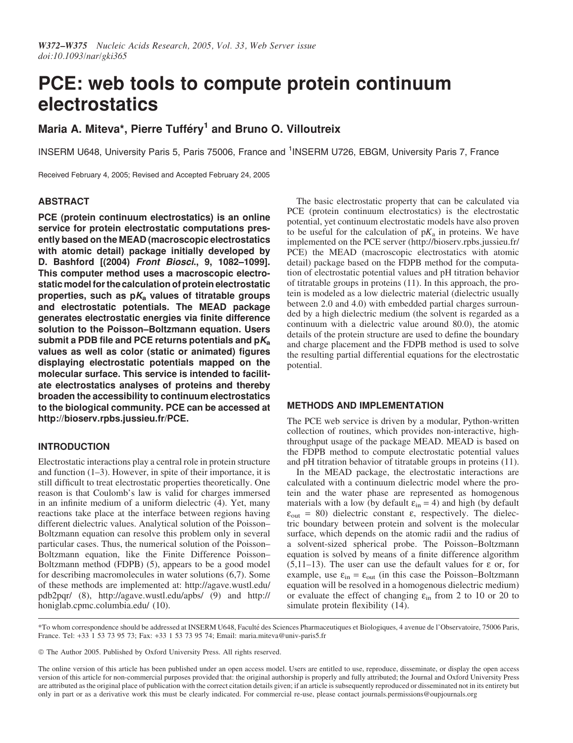# PCE: web tools to compute protein continuum electrostatics

# Maria A. Miteva\*, Pierre Tufféry<sup>1</sup> and Bruno O. Villoutreix

INSERM U648, University Paris 5, Paris 75006, France and <sup>1</sup>INSERM U726, EBGM, University Paris 7, France

Received February 4, 2005; Revised and Accepted February 24, 2005

# **ABSTRACT**

PCE (protein continuum electrostatics) is an online service for protein electrostatic computations presently based on the MEAD (macroscopic electrostatics with atomic detail) package initially developed by D. Bashford [(2004) Front Biosci., 9, 1082–1099]. This computer method uses a macroscopic electrostatic model for the calculation of protein electrostatic properties, such as  $pK_a$  values of titratable groups and electrostatic potentials. The MEAD package generates electrostatic energies via finite difference solution to the Poisson–Boltzmann equation. Users submit a PDB file and PCE returns potentials and  $pK_a$ values as well as color (static or animated) figures displaying electrostatic potentials mapped on the molecular surface. This service is intended to facilitate electrostatics analyses of proteins and thereby broaden the accessibility to continuum electrostatics to the biological community. PCE can be accessed at [http://bioserv.rpbs.jussieu.fr/PCE.](http://bioserv.rpbs.jussieu.fr/PCE)

# INTRODUCTION

Electrostatic interactions play a central role in protein structure and function (1–3). However, in spite of their importance, it is still difficult to treat electrostatic properties theoretically. One reason is that Coulomb's law is valid for charges immersed in an infinite medium of a uniform dielectric (4). Yet, many reactions take place at the interface between regions having different dielectric values. Analytical solution of the Poisson– Boltzmann equation can resolve this problem only in several particular cases. Thus, the numerical solution of the Poisson– Boltzmann equation, like the Finite Difference Poisson– Boltzmann method (FDPB) (5), appears to be a good model for describing macromolecules in water solutions (6,7). Some of these methods are implemented at:<http://agave.wustl.edu/> pdb2pqr/ (8),<http://agave.wustl.edu/apbs/> (9) and<http://> honiglab.cpmc.columbia.edu/ (10).

The basic electrostatic property that can be calculated via PCE (protein continuum electrostatics) is the electrostatic potential, yet continuum electrostatic models have also proven to be useful for the calculation of  $pK_a$  in proteins. We have implemented on the PCE server [\(http://bioserv.rpbs.jussieu.fr/](http://bioserv.rpbs.jussieu.fr/) PCE) the MEAD (macroscopic electrostatics with atomic detail) package based on the FDPB method for the computation of electrostatic potential values and pH titration behavior of titratable groups in proteins (11). In this approach, the protein is modeled as a low dielectric material (dielectric usually between 2.0 and 4.0) with embedded partial charges surrounded by a high dielectric medium (the solvent is regarded as a continuum with a dielectric value around 80.0), the atomic details of the protein structure are used to define the boundary and charge placement and the FDPB method is used to solve the resulting partial differential equations for the electrostatic potential.

# METHODS AND IMPLEMENTATION

The PCE web service is driven by a modular, Python-written collection of routines, which provides non-interactive, highthroughput usage of the package MEAD. MEAD is based on the FDPB method to compute electrostatic potential values and pH titration behavior of titratable groups in proteins (11).

In the MEAD package, the electrostatic interactions are calculated with a continuum dielectric model where the protein and the water phase are represented as homogenous materials with a low (by default  $\varepsilon_{\text{in}} = 4$ ) and high (by default  $\varepsilon_{\text{out}}$  = 80) dielectric constant  $\varepsilon$ , respectively. The dielectric boundary between protein and solvent is the molecular surface, which depends on the atomic radii and the radius of a solvent-sized spherical probe. The Poisson–Boltzmann equation is solved by means of a finite difference algorithm (5,11–13). The user can use the default values for  $\varepsilon$  or, for example, use  $\varepsilon_{\text{in}} = \varepsilon_{\text{out}}$  (in this case the Poisson–Boltzmann equation will be resolved in a homogenous dielectric medium) or evaluate the effect of changing  $\varepsilon_{in}$  from 2 to 10 or 20 to simulate protein flexibility (14).

\*To whom correspondence should be addressed at INSERM U648, Faculte´ des Sciences Pharmaceutiques et Biologiques, 4 avenue de l'Observatoire, 75006 Paris, France. Tel: +33 1 53 73 95 73; Fax: +33 1 53 73 95 74; Email: maria.miteva@univ-paris5.fr

© The Author 2005. Published by Oxford University Press. All rights reserved.

The online version of this article has been published under an open access model. Users are entitled to use, reproduce, disseminate, or display the open access version of this article for non-commercial purposes provided that: the original authorship is properly and fully attributed; the Journal and Oxford University Press are attributed as the original place of publication with the correct citation details given; if an article is subsequently reproduced or disseminated not in its entirety but only in part or as a derivative work this must be clearly indicated. For commercial re-use, please contact journals.permissions@oupjournals.org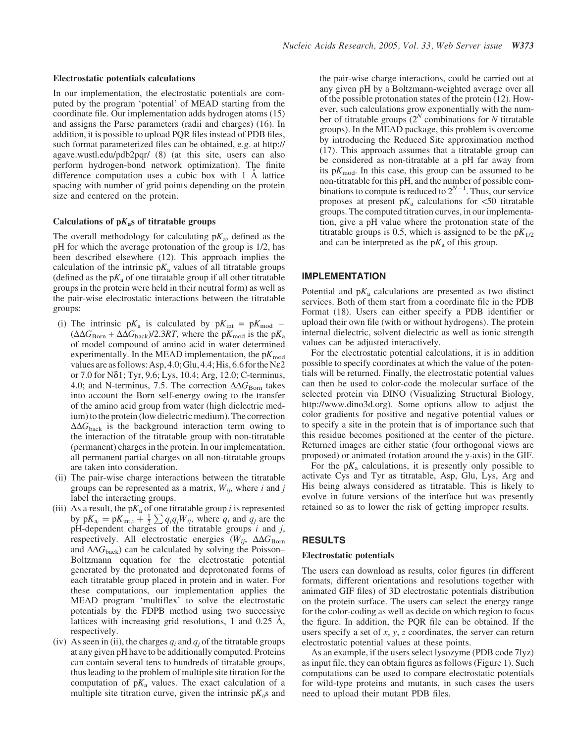#### Electrostatic potentials calculations

In our implementation, the electrostatic potentials are computed by the program 'potential' of MEAD starting from the coordinate file. Our implementation adds hydrogen atoms (15) and assigns the Parse parameters (radii and charges) (16). In addition, it is possible to upload PQR files instead of PDB files, such format parameterized files can be obtained, e.g. at<http://> agave.wustl.edu/pdb2pqr/ (8) (at this site, users can also perform hydrogen-bond network optimization). The finite difference computation uses a cubic box with  $1 \text{ Å}$  lattice spacing with number of grid points depending on the protein size and centered on the protein.

#### Calculations of  $pK<sub>a</sub>$ s of titratable groups

The overall methodology for calculating  $pK_a$ , defined as the pH for which the average protonation of the group is 1/2, has been described elsewhere (12). This approach implies the calculation of the intrinsic  $pK_a$  values of all titratable groups (defined as the  $pK_a$  of one titratable group if all other titratable groups in the protein were held in their neutral form) as well as the pair-wise electrostatic interactions between the titratable groups:

- (i) The intrinsic  $pK_a$  is calculated by  $pK_{int} = pK_{mod}$  $(\Delta \Delta G_{\rm Born} + \Delta \Delta G_{\rm back})/2.3RT$ , where the p $K_{\rm mod}$  is the p $K_{\rm ad}$ of model compound of amino acid in water determined experimentally. In the MEAD implementation, the  $pK_{mod}$ values are asfollows: Asp, 4.0;Glu,4.4;His,6.6 forthe Ne2 or 7.0 for Nd1; Tyr, 9.6; Lys, 10.4; Arg, 12.0; C-terminus, 4.0; and N-terminus, 7.5. The correction  $\Delta\Delta G_{\rm Born}$  takes into account the Born self-energy owing to the transfer of the amino acid group from water (high dielectric medium) to the protein (low dielectric medium). The correction  $\Delta\Delta G_{\text{back}}$  is the background interaction term owing to the interaction of the titratable group with non-titratable (permanent) charges in the protein. In our implementation, all permanent partial charges on all non-titratable groups are taken into consideration.
- (ii) The pair-wise charge interactions between the titratable groups can be represented as a matrix,  $W_{ij}$ , where i and j label the interacting groups.
- (iii) As a result, the  $pK_a$  of one titratable group *i* is represented by  $pK_{a_i} = pK_{int,i} + \frac{1}{2} \sum q_i q_j W_{ij}$ , where  $q_i$  and  $q_j$  are the pH-dependent charges of the titratable groups  $i$  and  $j$ , respectively. All electrostatic energies ( $W_{ij}$ ,  $\Delta\Delta G_{\text{Born}}$ and  $\Delta\Delta G_{\text{back}}$ ) can be calculated by solving the Poisson– Boltzmann equation for the electrostatic potential generated by the protonated and deprotonated forms of each titratable group placed in protein and in water. For these computations, our implementation applies the MEAD program 'multiflex' to solve the electrostatic potentials by the FDPB method using two successive lattices with increasing grid resolutions, 1 and  $0.25$  Å, respectively.
- (iv) As seen in (ii), the charges  $q_i$  and  $q_j$  of the titratable groups at any given pH have to be additionally computed. Proteins can contain several tens to hundreds of titratable groups, thus leading to the problem of multiple site titration for the computation of  $pK_a$  values. The exact calculation of a multiple site titration curve, given the intrinsic  $pK_s$  and

the pair-wise charge interactions, could be carried out at any given pH by a Boltzmann-weighted average over all of the possible protonation states of the protein (12). However, such calculations grow exponentially with the number of titratable groups  $(2^N \text{ combinations for } N \text{ titratable})$ groups). In the MEAD package, this problem is overcome by introducing the Reduced Site approximation method (17). This approach assumes that a titratable group can be considered as non-titratable at a pH far away from its  $pK_{\text{mod}}$ . In this case, this group can be assumed to be non-titratable for this pH, and the number of possible combinations to compute is reduced to  $2^{N-1}$ . Thus, our service proposes at present  $pK_a$  calculations for <50 titratable groups. The computed titration curves, in our implementation, give a pH value where the protonation state of the titratable groups is 0.5, which is assigned to be the  $pK_{1/2}$ and can be interpreted as the  $pK_a$  of this group.

#### IMPLEMENTATION

Potential and  $pK_a$  calculations are presented as two distinct services. Both of them start from a coordinate file in the PDB Format (18). Users can either specify a PDB identifier or upload their own file (with or without hydrogens). The protein internal dielectric, solvent dielectric as well as ionic strength values can be adjusted interactively.

For the electrostatic potential calculations, it is in addition possible to specify coordinates at which the value of the potentials will be returned. Finally, the electrostatic potential values can then be used to color-code the molecular surface of the selected protein via DINO (Visualizing Structural Biology, [http://www.dino3d.org\).](http://www.dino3d.org) Some options allow to adjust the color gradients for positive and negative potential values or to specify a site in the protein that is of importance such that this residue becomes positioned at the center of the picture. Returned images are either static (four orthogonal views are proposed) or animated (rotation around the y-axis) in the GIF.

For the  $pK_a$  calculations, it is presently only possible to activate Cys and Tyr as titratable, Asp, Glu, Lys, Arg and His being always considered as titratable. This is likely to evolve in future versions of the interface but was presently retained so as to lower the risk of getting improper results.

#### RESULTS

#### Electrostatic potentials

The users can download as results, color figures (in different formats, different orientations and resolutions together with animated GIF files) of 3D electrostatic potentials distribution on the protein surface. The users can select the energy range for the color-coding as well as decide on which region to focus the figure. In addition, the PQR file can be obtained. If the users specify a set of  $x$ ,  $y$ ,  $z$  coordinates, the server can return electrostatic potential values at these points.

As an example, if the users select lysozyme (PDB code 7lyz) as input file, they can obtain figures as follows (Figure 1). Such computations can be used to compare electrostatic potentials for wild-type proteins and mutants, in such cases the users need to upload their mutant PDB files.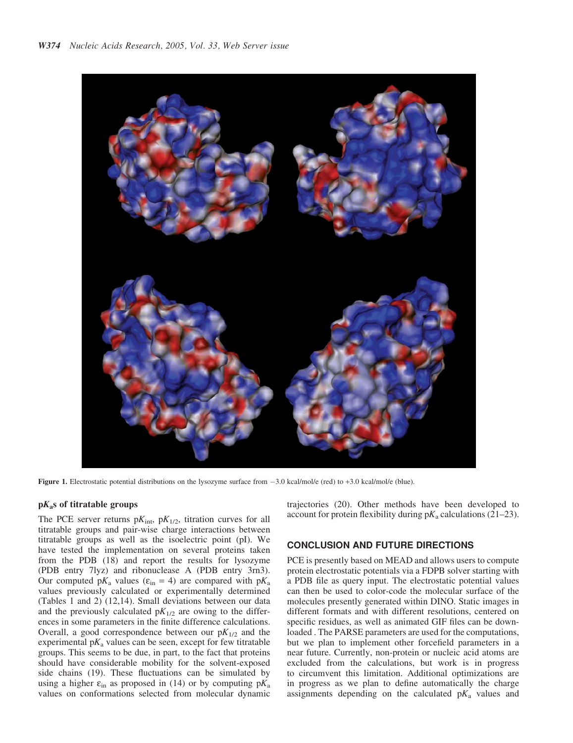

Figure 1. Electrostatic potential distributions on the lysozyme surface from -3.0 kcal/mol/e (red) to +3.0 kcal/mol/e (blue).

#### $pK<sub>a</sub>$ s of titratable groups

The PCE server returns  $pK_{\text{int}}$ ,  $pK_{1/2}$ , titration curves for all titratable groups and pair-wise charge interactions between titratable groups as well as the isoelectric point (pI). We have tested the implementation on several proteins taken from the PDB (18) and report the results for lysozyme (PDB entry 7lyz) and ribonuclease A (PDB entry 3rn3). Our computed p $K_a$  values ( $\varepsilon_{in}$  = 4) are compared with p $K_a$ values previously calculated or experimentally determined (Tables 1 and 2) (12,14). Small deviations between our data and the previously calculated  $pK_{1/2}$  are owing to the differences in some parameters in the finite difference calculations. Overall, a good correspondence between our  $pK_{1/2}$  and the experimental  $pK_a$  values can be seen, except for few titratable groups. This seems to be due, in part, to the fact that proteins should have considerable mobility for the solvent-exposed side chains (19). These fluctuations can be simulated by using a higher  $\varepsilon_{\text{in}}$  as proposed in (14) or by computing  $pK_a$ values on conformations selected from molecular dynamic trajectories (20). Other methods have been developed to account for protein flexibility during  $pK_a$  calculations (21–23).

### CONCLUSION AND FUTURE DIRECTIONS

PCE is presently based on MEAD and allows users to compute protein electrostatic potentials via a FDPB solver starting with a PDB file as query input. The electrostatic potential values can then be used to color-code the molecular surface of the molecules presently generated within DINO. Static images in different formats and with different resolutions, centered on specific residues, as well as animated GIF files can be downloaded . The PARSE parameters are used for the computations, but we plan to implement other forcefield parameters in a near future. Currently, non-protein or nucleic acid atoms are excluded from the calculations, but work is in progress to circumvent this limitation. Additional optimizations are in progress as we plan to define automatically the charge assignments depending on the calculated  $pK_a$  values and